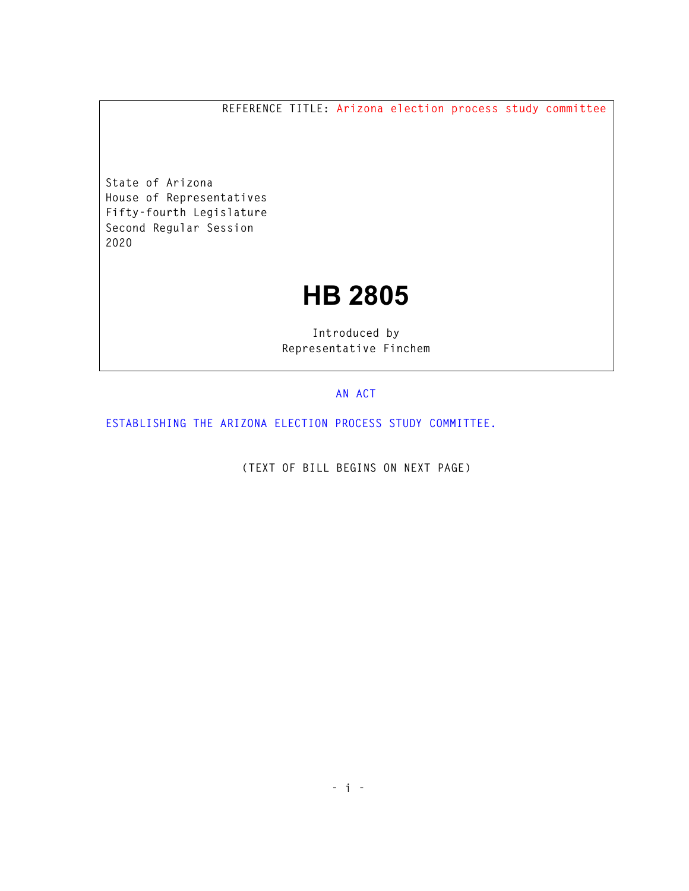**REFERENCE TITLE: Arizona election process study committee** 

**State of Arizona House of Representatives Fifty-fourth Legislature Second Regular Session 2020** 

## **HB 2805**

**Introduced by Representative Finchem** 

## **AN ACT**

**ESTABLISHING THE ARIZONA ELECTION PROCESS STUDY COMMITTEE.** 

**(TEXT OF BILL BEGINS ON NEXT PAGE)**